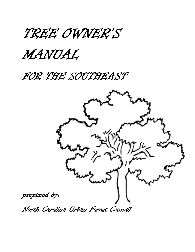

# MANUAL

FOR THE SOUTHEAST

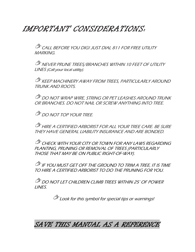## IMPORTANT CONSIDERATIONS:

CALL BEFORE YOU DIG! JUST DIAL 811 FOR FREE UTILITY MARKING.

**NEVER PRUNE TREES/BRANCHES WITHIN 10 FEET OF UTILITY** LINES (Call your local utility).

**KEEP MACHINERY AWAY FROM TREES, PARTICULARLY AROUND** TRUNK AND ROOTS.

**OF DO NOT WRAP WIRE, STRING OR PET LEASHES AROUND TRUNK** OR BRANCHES. DO NOT NAIL OR SCREW ANYTHING INTO TREE.

*DO NOT TOP YOUR TREE.* 

**EMPLE A CERTIFIED ARBORIST FOR ALL YOUR TREE CARE. BE SURE** THEY HAVE GENERAL LIABILITY INSURANCE AND ARE BONDED.

CHECK WITH YOUR CITY OR TOWN FOR ANY LAWS REGARDING PLANTING, PRUNING OR REMOVAL OF TREES (PARTICULARLY THOSE THAT MAY BE ON PUBLIC RIGHT-OF-WAY).

**IF YOU MUST GET OFF THE GROUND TO TRIM A TREE, IT IS TIME** TO HIRE A CERTIFIED ARBORIST TO DO THE PRUNING FOR YOU.

**DO NOT LET CHILDREN CLIMB TREES WITHIN 25' OF POWER** LINES.

Look for this symbol for special tips or warnings!

SAVE THIS MANUAL AS A REFERENCE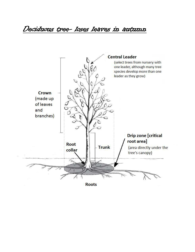Deciduous tree- loses leaves in autumn



**Roots**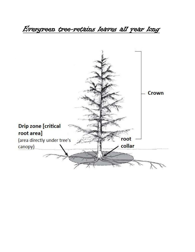Evergreen tree-retains leaves all year long

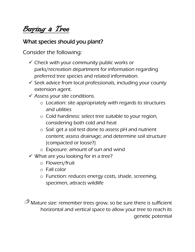Buying a Tree

#### What species should you plant?

Consider the following:

- $\checkmark$  Check with your community public works or parks/recreation department for information regarding preferred tree species and related information.
- $\checkmark$  Seek advice from local professionals, including your county extension agent.
- $\checkmark$  Assess your site conditions.
	- o Location: site appropriately with regards to structures and utilities
	- o Cold hardiness: select tree suitable to your region, considering both cold and heat
	- o Soil: get a soil test done to assess pH and nutrient content; assess drainage; and determine soil structure (compacted or loose?)
	- o Exposure: amount of sun and wind
- $\checkmark$  What are you looking for in a tree?
	- o Flowers/fruit
	- o Fall color
	- o Function: reduces energy costs, shade, screening, specimen, attracts wildlife

Mature size: remember trees grow, so be sure there is sufficient horizontal and vertical space to allow your tree to reach its genetic potential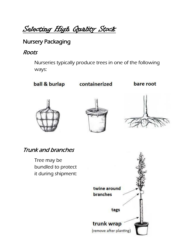Selecting High Quality Stock

## Nursery Packaging

#### Roots

Nurseries typically produce trees in one of the following ways:

ball & burlap

containerized

bare root







Trunk and branches

Tree may be bundled to protect it during shipment:

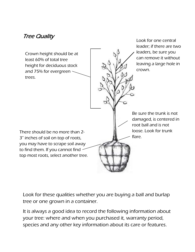### Tree Quality

 least 60% of total tree and 75% for evergreen inere should be no more than .<br>3" inches of soil on top of roots, you may nave to serape son awa<br>to find them. If you cannot find İ, Crown height should be at height for deciduous stock trees. leaders, be sure you can remove it without leaving a large hole in crown. Be sure the trunk is not damaged, is centered in root ball and is not loose. Look for trunk flare. There should be no more than 2 you may have to scrape soil away top most roots, select another tree.

Look for one central leader; if there are two

Look for these qualities whether you are buying a ball and burlap tree or one grown in a container.

It is always a good idea to record the following information about your tree: where and when you purchased it, warranty period, species and any other key information about its care or features.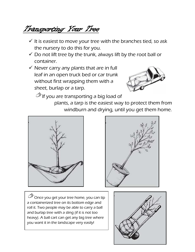Transporting Your Tree

- $\checkmark$  It is easiest to move your tree with the branches tied, so ask the nursery to do this for you.
- $\checkmark$  Do not lift tree by the trunk, always lift by the root ball or container.
- $\checkmark$  Never carry any plants that are in full leaf in an open truck bed or car trunk without first wrapping them with a sheet, burlap or a tarp.



 $\bullet$  If you are transporting a big load of

plants, a tarp is the easiest way to protect them from windburn and drying, until you get them home.





 $\check{\;}$ Once you get your tree home, you can tip a containerized tree on its bottom edge and roll it. Two people may be able to carry a ball and burlap tree with a sling (if it is not too heavy). A ball cart can get any big tree where you want it in the landscape very easily!

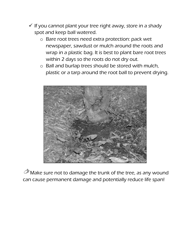- $\checkmark$  If you cannot plant your tree right away, store in a shady spot and keep ball watered.
	- o Bare root trees need extra protection: pack wet newspaper, sawdust or mulch around the roots and wrap in a plastic bag. It is best to plant bare root trees within 2 days so the roots do not dry out.
	- o Ball and burlap trees should be stored with mulch, plastic or a tarp around the root ball to prevent drying.



**Make sure not to damage the trunk of the tree, as any wound** can cause permanent damage and potentially reduce life span!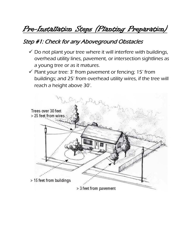Pre-Installation Steps (Planting Preparation)

#### Step #1: Check for any Aboveground Obstacles

- $\checkmark$  Do not plant your tree where it will interfere with buildings, overhead utility lines, pavement, or intersection sightlines as a young tree or as it matures.
- $\checkmark$  Plant your tree: 3' from pavement or fencing; 15' from buildings; and 25' from overhead utility wires, if the tree will reach a height above 30'.

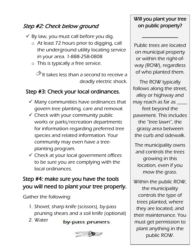## Step #2: Check below ground

- $\checkmark$  By law, you must call before you dig.
	- o At least 72 hours prior to digging, call the underground utility locating service in your area. 1-888-258-0808
	- o This is typically a free service.

 $\bullet$  It takes less than a second to receive a deadly electric shock.

## Step #3: Check your local ordinances.

- $\checkmark$  Many communities have ordinances that govern tree planting, care and removal.
- $\checkmark$  Check with your community public works or parks/recreation departments for information regarding preferred tree species and related information. Your community may even have a treeplanting program.
- $\checkmark$  Check at your local government offices to be sure you are complying with the local ordinances.

## Step #4: make sure you have the tools you will need to plant your tree properly.

Gather the following:

1. Shovel, sharp knife (scissors), by-pass pruning shears and a soil knife (optional)

2. Water

by-pass pruners



### Will you plant your tree on public property?

\_\_\_\_\_\_\_\_\_\_\_\_\_\_

Public trees are located on municipal property or within the right-ofway (ROW), regardless of who planted them.

The ROW typically follows along the street, alley or highway and may reach as far as \_\_\_\_\_ feet beyond the pavement. This includes the "tree lawn", the grassy area between the curb and sidewalk.

The municipality owns and controls the trees growing in this location, even if you mow the grass.

Within the public ROW, the municipality controls the type of trees planted, where they are located, and their maintenance. You must get permission to plant anything in the public ROW.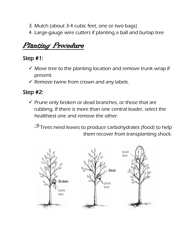- 3. Mulch (about 3-4 cubic feet, one or two bags)
- 4. Large-gauge wire cutters if planting a ball and burlap tree

## Planting Procedure

## Step #1:

- $\checkmark$  Move tree to the planting location and remove trunk wrap if present.
- $\checkmark$  Remove twine from crown and any labels.

## Step #2:

 $\checkmark$  Prune only broken or dead branches, or those that are rubbing. If there is more than one central leader, select the healthiest one and remove the other.

**Trees need leaves to produce carbohydrates (food) to help** them recover from transplanting shock.

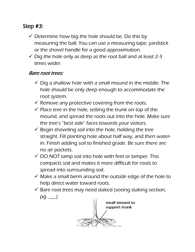### Step #3:

- $\checkmark$  Determine how big the hole should be. Do this by measuring the ball. You can use a measuring tape, yardstick or the shovel handle for a good approximation.
- $\checkmark$  Dig the hole only as deep as the root ball and at least 2-3 times wider.

#### Bare root trees:

- $\checkmark$  Dig a shallow hole with a small mound in the middle. The hole should be only deep enough to accommodate the root system.
- $\checkmark$  Remove any protective covering from the roots.
- $\checkmark$  Place tree in the hole, setting the trunk on top of the mound, and spread the roots out into the hole. Make sure the tree's "best side" faces towards your visitors.
- $\checkmark$  Begin shoveling soil into the hole, holding the tree straight. Fill planting hole about half way, and then waterin. Finish adding soil to finished grade. Be sure there are no air pockets.
- $\checkmark$  DO NOT tamp soil into hole with feet or tamper. This compacts soil and makes it more difficult for roots to spread into surrounding soil.
- $\checkmark$  Make a small berm around the outside edge of the hole to help direct water toward roots.
- $\checkmark$  Bare root trees may need staked (seeing staking section,  $pg.$   $\Box$

small mound to support trunk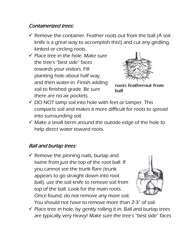#### Containerized trees:

- $\checkmark$  Remove the container. Feather roots out from the ball (A soil knife is a great way to accomplish this!) and cut any girdling, kinked or circling roots.
- $\checkmark$  Place tree in the hole. Make sure the tree's "best side" faces towards your visitors. Fill planting hole about half way, and then water-in. Finish adding soil to finished grade. Be sure there are no air pockets.



roots featherout from ball

- $\checkmark$  DO NOT tamp soil into hole with feet or tamper. This compacts soil and makes it more difficult for roots to spread into surrounding soil.
- $\checkmark$  Make a small berm around the outside edge of the hole to help direct water toward roots.

#### Ball and burlap trees:

 $\checkmark$  Remove the pinning nails, burlap and twine from just the top of the root ball. If you cannot see the trunk flare (trunk appears to go straight down into root ball), use the soil knife to remove soil from top of the ball. Look for the main roots. Once found, do not remove any more soil.



- You should not have to remove more than 2-3" of soil.  $\checkmark$  Place tree in hole, by gently rolling it in. Ball and burlap trees
- are typically very heavy! Make sure the tree's "best side" faces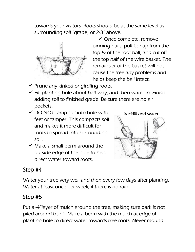towards your visitors. Roots should be at the same level as surrounding soil (grade) or 2-3" above.



 $\checkmark$  Once complete, remove pinning nails, pull burlap from the top  $\frac{1}{2}$  of the root ball, and cut off the top half of the wire basket. The remainder of the basket will not cause the tree any problems and helps keep the ball intact.

- $\checkmark$  Prune any kinked or girdling roots.
- $\checkmark$  Fill planting hole about half way, and then water-in. Finish adding soil to finished grade. Be sure there are no air pockets.
- $\checkmark$  DO NOT tamp soil into hole with feet or tamper. This compacts soil and makes it more difficult for roots to spread into surrounding soil.
- $\checkmark$  Make a small berm around the outside edge of the hole to help direct water toward roots.



### Step #4

Water your tree very well and then every few days after planting. Water at least once per week, if there is no rain.

### Step #5

Put a -4"layer of mulch around the tree, making sure bark is not piled around trunk. Make a berm with the mulch at edge of planting hole to direct water towards tree roots. Never mound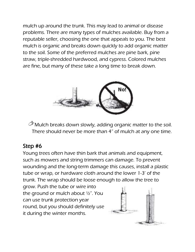mulch up around the trunk. This may lead to animal or disease problems. There are many types of mulches available. Buy from a reputable seller, choosing the one that appeals to you. The best mulch is organic and breaks down quickly to add organic matter to the soil. Some of the preferred mulches are pine bark, pine straw, triple-shredded hardwood, and cypress. Colored mulches are fine, but many of these take a long time to break down.



Mulch breaks down slowly, adding organic matter to the soil. There should never be more than 4" of mulch at any one time.

## Step #6

Young trees often have thin bark that animals and equipment, such as mowers and string trimmers can damage. To prevent wounding and the long-term damage this causes, install a plastic tube or wrap, or hardware cloth around the lower 1-3' of the trunk. The wrap should be loose enough to allow the tree to

grow. Push the tube or wire into the ground or mulch about ½". You can use trunk protection year round, but you should definitely use it during the winter months.

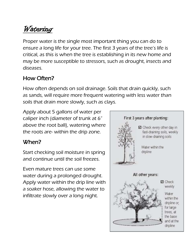## Watering

Proper water is the single most important thing you can do to ensure a long life for your tree. The first 3 years of the tree's life is critical, as this is when the tree is establishing in its new home and may be more susceptible to stressors, such as drought, insects and diseases.

## How Often?

How often depends on soil drainage. Soils that drain quickly, such as sands, will require more frequent watering with less water than soils that drain more slowly, such as clays.

Apply about 5 gallons of water per caliper inch (diameter of trunk at 6" above the root ball), watering where the roots are- within the drip zone.

## When?

Start checking soil moisture in spring and continue until the soil freezes.

Even mature trees can use some water during a prolonged drought. Apply water within the drip line with a soaker hose, allowing the water to infiltrate slowly over a long night.

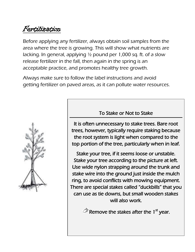## Fertilization

Before applying any fertilizer, always obtain soil samples from the area where the tree is growing. This will show what nutrients are lacking. In general, applying ½ pound per 1,000 sq. ft. of a slow release fertilizer in the fall, then again in the spring is an acceptable practice, and promotes healthy tree growth.

Always make sure to follow the label instructions and avoid getting fertilizer on paved areas, as it can pollute water resources.



#### To Stake or Not to Stake

It is often unnecessary to stake trees. Bare root trees, however, typically require staking because the root system is light when compared to the top portion of the tree, particularly when in leaf.

Stake your tree, if it seems loose or unstable. Stake your tree according to the picture at left. Use wide nylon strapping around the trunk and stake wire into the ground just inside the mulch ring, to avoid conflicts with mowing equipment. There are special stakes called "duckbills" that you can use as tie downs, but small wooden stakes will also work.

Remove the stakes after the 1<sup>st</sup> year.